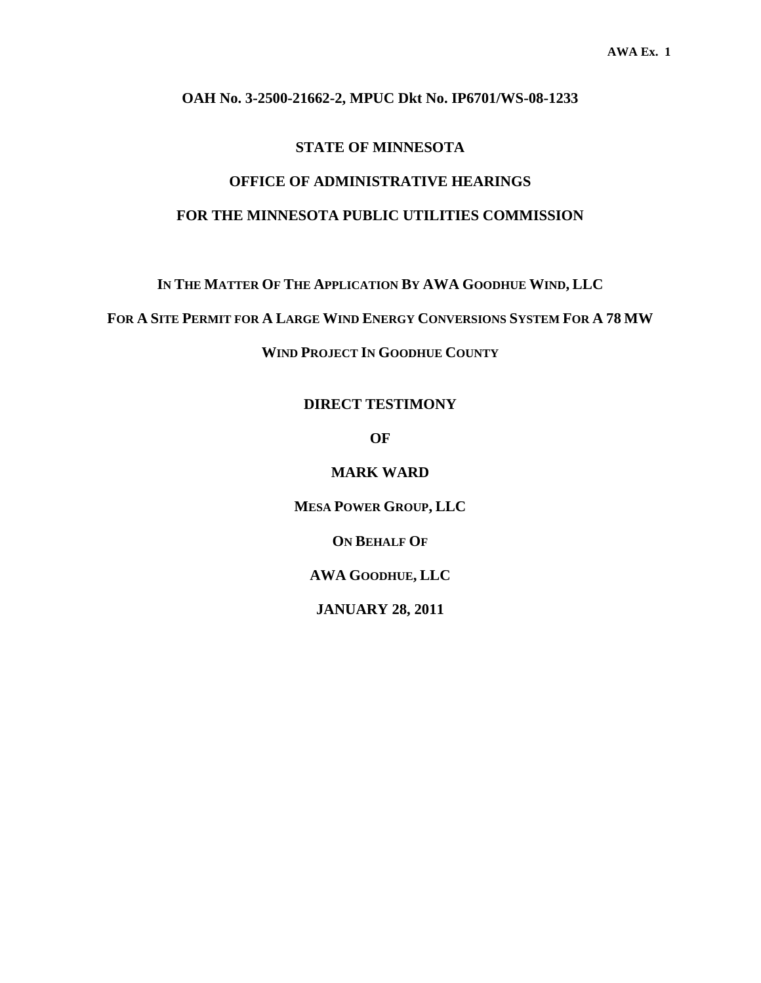#### **OAH No. 3-2500-21662-2, MPUC Dkt No. IP6701/WS-08-1233**

#### **STATE OF MINNESOTA**

### **OFFICE OF ADMINISTRATIVE HEARINGS FOR THE MINNESOTA PUBLIC UTILITIES COMMISSION**

**IN THE MATTER OF THE APPLICATION BY AWA GOODHUE WIND, LLC** 

**FOR A SITE PERMIT FOR A LARGE WIND ENERGY CONVERSIONS SYSTEM FOR A 78 MW**

**WIND PROJECT IN GOODHUE COUNTY** 

**DIRECT TESTIMONY** 

**OF** 

**MARK WARD** 

**MESA POWER GROUP, LLC** 

**ON BEHALF OF**

**AWA GOODHUE, LLC** 

**JANUARY 28, 2011**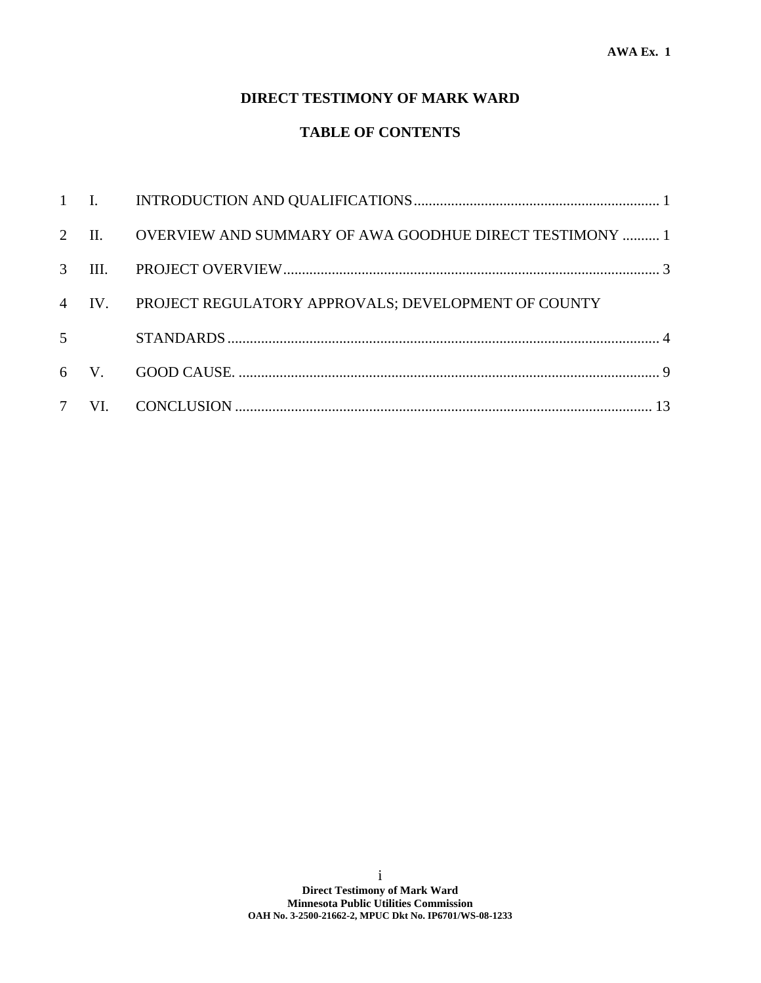### **DIRECT TESTIMONY OF MARK WARD**

### **TABLE OF CONTENTS**

|                | 2 II. OVERVIEW AND SUMMARY OF AWA GOODHUE DIRECT TESTIMONY  1 |  |
|----------------|---------------------------------------------------------------|--|
|                |                                                               |  |
| $\overline{4}$ | IV. PROJECT REGULATORY APPROVALS; DEVELOPMENT OF COUNTY       |  |
| $\overline{5}$ |                                                               |  |
|                |                                                               |  |
|                |                                                               |  |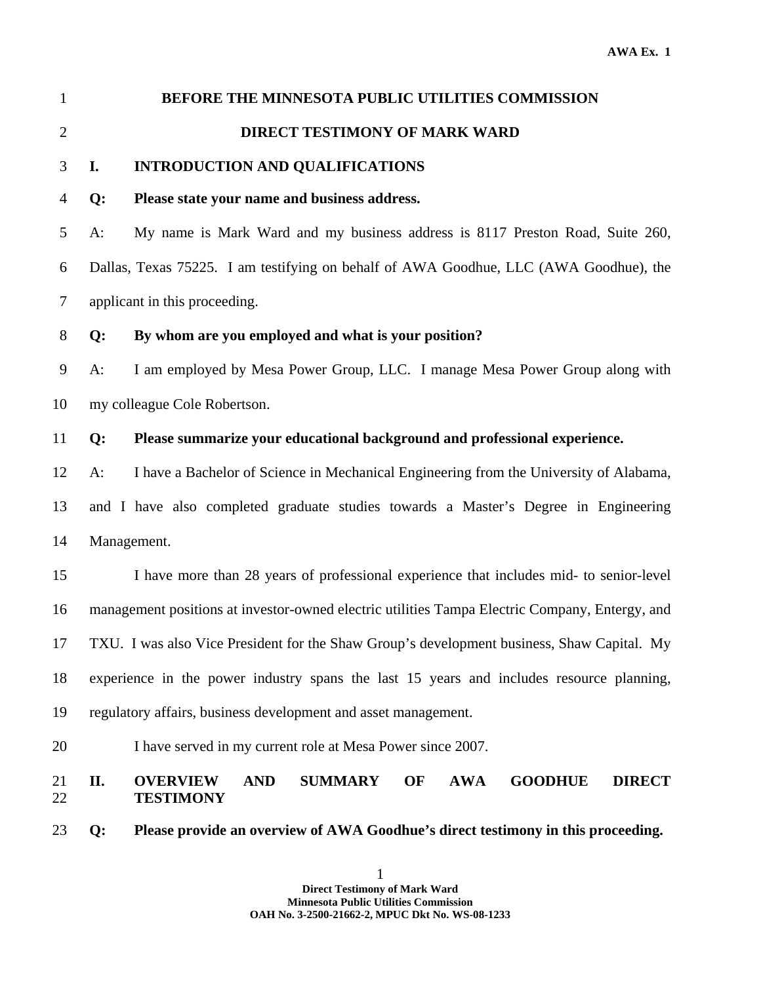| $\mathbf{1}$   |       | BEFORE THE MINNESOTA PUBLIC UTILITIES COMMISSION                                                                           |
|----------------|-------|----------------------------------------------------------------------------------------------------------------------------|
| $\overline{2}$ |       | <b>DIRECT TESTIMONY OF MARK WARD</b>                                                                                       |
| 3              | I.    | <b>INTRODUCTION AND QUALIFICATIONS</b>                                                                                     |
| $\overline{4}$ | $Q$ : | Please state your name and business address.                                                                               |
| 5              | $A$ : | My name is Mark Ward and my business address is 8117 Preston Road, Suite 260,                                              |
| 6              |       | Dallas, Texas 75225. I am testifying on behalf of AWA Goodhue, LLC (AWA Goodhue), the                                      |
| $\overline{7}$ |       | applicant in this proceeding.                                                                                              |
| $8\,$          | Q:    | By whom are you employed and what is your position?                                                                        |
| $\mathbf{9}$   | $A$ : | I am employed by Mesa Power Group, LLC. I manage Mesa Power Group along with                                               |
| 10             |       | my colleague Cole Robertson.                                                                                               |
| 11             | Q:    | Please summarize your educational background and professional experience.                                                  |
| 12             | $A$ : | I have a Bachelor of Science in Mechanical Engineering from the University of Alabama,                                     |
| 13             |       | and I have also completed graduate studies towards a Master's Degree in Engineering                                        |
| 14             |       | Management.                                                                                                                |
| 15             |       | I have more than 28 years of professional experience that includes mid- to senior-level                                    |
| 16             |       | management positions at investor-owned electric utilities Tampa Electric Company, Entergy, and                             |
| 17             |       | TXU. I was also Vice President for the Shaw Group's development business, Shaw Capital. My                                 |
| 18             |       | experience in the power industry spans the last 15 years and includes resource planning,                                   |
| 19             |       | regulatory affairs, business development and asset management.                                                             |
| 20             |       | I have served in my current role at Mesa Power since 2007.                                                                 |
| 21<br>22       | II.   | <b>OVERVIEW</b><br><b>AND</b><br><b>SUMMARY</b><br><b>AWA</b><br><b>GOODHUE</b><br><b>DIRECT</b><br>OF<br><b>TESTIMONY</b> |
| 23             | Q:    | Please provide an overview of AWA Goodhue's direct testimony in this proceeding.                                           |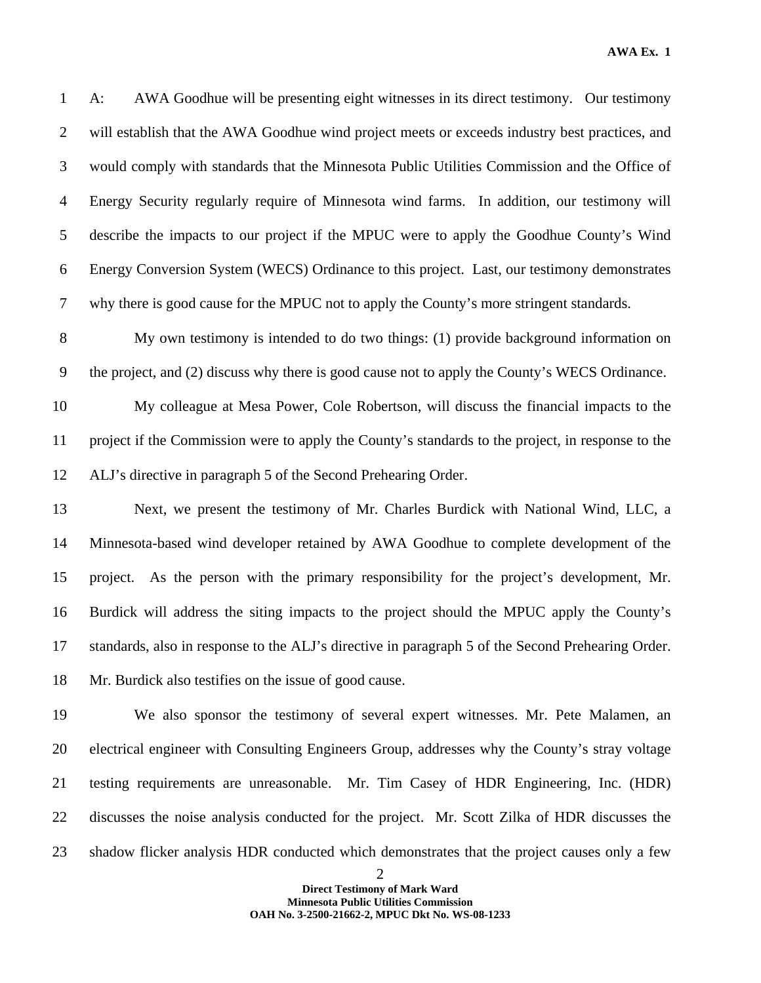1 A: AWA Goodhue will be presenting eight witnesses in its direct testimony. Our testimony 2 will establish that the AWA Goodhue wind project meets or exceeds industry best practices, and 3 would comply with standards that the Minnesota Public Utilities Commission and the Office of 4 Energy Security regularly require of Minnesota wind farms. In addition, our testimony will 5 describe the impacts to our project if the MPUC were to apply the Goodhue County's Wind 6 Energy Conversion System (WECS) Ordinance to this project. Last, our testimony demonstrates 7 why there is good cause for the MPUC not to apply the County's more stringent standards.

8 My own testimony is intended to do two things: (1) provide background information on 9 the project, and (2) discuss why there is good cause not to apply the County's WECS Ordinance.

10 My colleague at Mesa Power, Cole Robertson, will discuss the financial impacts to the 11 project if the Commission were to apply the County's standards to the project, in response to the 12 ALJ's directive in paragraph 5 of the Second Prehearing Order.

13 Next, we present the testimony of Mr. Charles Burdick with National Wind, LLC, a 14 Minnesota-based wind developer retained by AWA Goodhue to complete development of the 15 project. As the person with the primary responsibility for the project's development, Mr. 16 Burdick will address the siting impacts to the project should the MPUC apply the County's 17 standards, also in response to the ALJ's directive in paragraph 5 of the Second Prehearing Order. 18 Mr. Burdick also testifies on the issue of good cause.

19 We also sponsor the testimony of several expert witnesses. Mr. Pete Malamen, an 20 electrical engineer with Consulting Engineers Group, addresses why the County's stray voltage 21 testing requirements are unreasonable. Mr. Tim Casey of HDR Engineering, Inc. (HDR) 22 discusses the noise analysis conducted for the project. Mr. Scott Zilka of HDR discusses the 23 shadow flicker analysis HDR conducted which demonstrates that the project causes only a few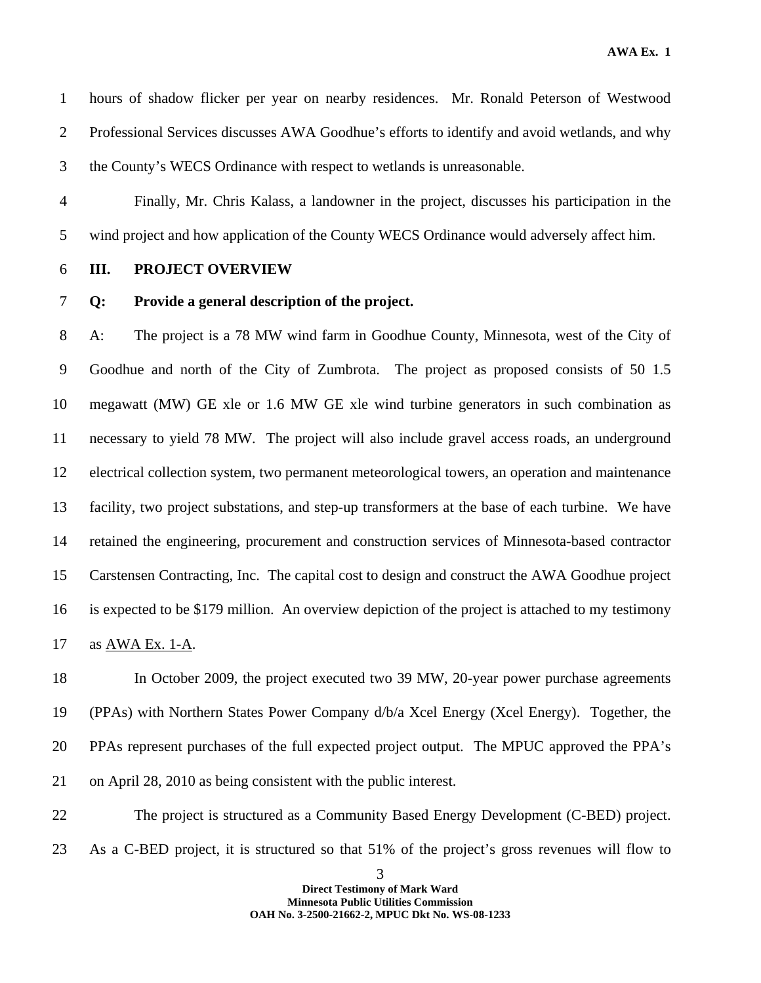1 hours of shadow flicker per year on nearby residences. Mr. Ronald Peterson of Westwood 2 Professional Services discusses AWA Goodhue's efforts to identify and avoid wetlands, and why 3 the County's WECS Ordinance with respect to wetlands is unreasonable.

4 Finally, Mr. Chris Kalass, a landowner in the project, discusses his participation in the 5 wind project and how application of the County WECS Ordinance would adversely affect him.

6 **III. PROJECT OVERVIEW** 

#### 7 **Q: Provide a general description of the project.**

8 A: The project is a 78 MW wind farm in Goodhue County, Minnesota, west of the City of 9 Goodhue and north of the City of Zumbrota. The project as proposed consists of 50 1.5 10 megawatt (MW) GE xle or 1.6 MW GE xle wind turbine generators in such combination as 11 necessary to yield 78 MW. The project will also include gravel access roads, an underground 12 electrical collection system, two permanent meteorological towers, an operation and maintenance 13 facility, two project substations, and step-up transformers at the base of each turbine. We have 14 retained the engineering, procurement and construction services of Minnesota-based contractor 15 Carstensen Contracting, Inc. The capital cost to design and construct the AWA Goodhue project 16 is expected to be \$179 million. An overview depiction of the project is attached to my testimony 17 as AWA Ex. 1-A.

18 In October 2009, the project executed two 39 MW, 20-year power purchase agreements 19 (PPAs) with Northern States Power Company d/b/a Xcel Energy (Xcel Energy). Together, the 20 PPAs represent purchases of the full expected project output. The MPUC approved the PPA's 21 on April 28, 2010 as being consistent with the public interest.

22 The project is structured as a Community Based Energy Development (C-BED) project. 23 As a C-BED project, it is structured so that 51% of the project's gross revenues will flow to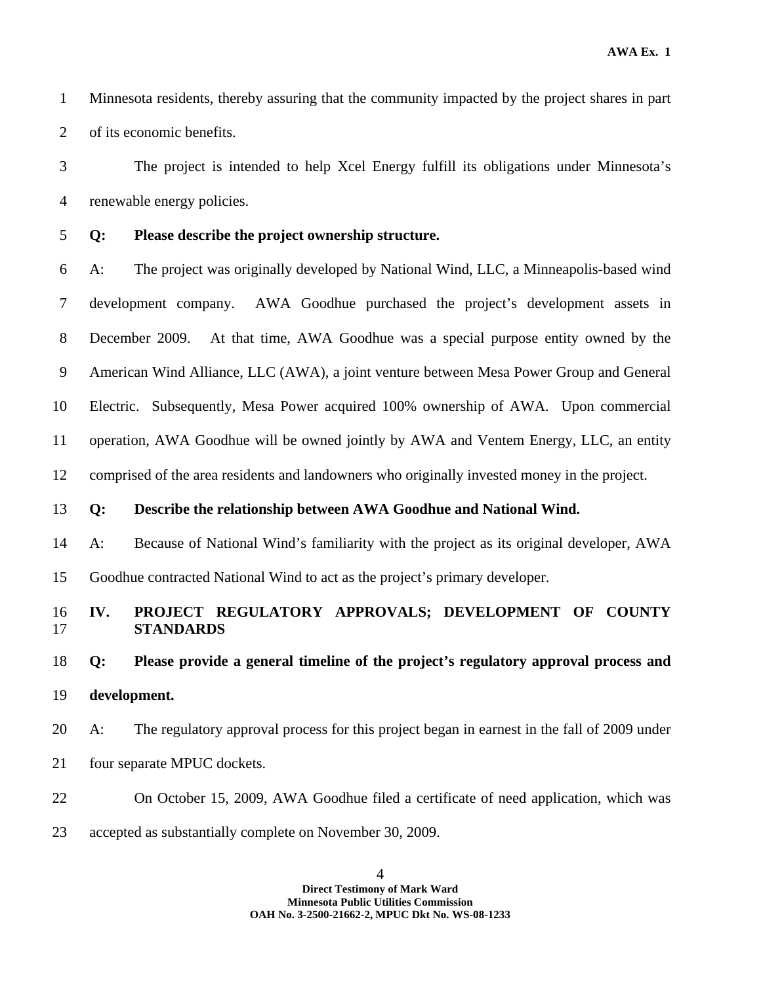1 Minnesota residents, thereby assuring that the community impacted by the project shares in part 2 of its economic benefits.

3 The project is intended to help Xcel Energy fulfill its obligations under Minnesota's 4 renewable energy policies.

#### 5 **Q: Please describe the project ownership structure.**

6 A: The project was originally developed by National Wind, LLC, a Minneapolis-based wind 7 development company. AWA Goodhue purchased the project's development assets in 8 December 2009. At that time, AWA Goodhue was a special purpose entity owned by the 9 American Wind Alliance, LLC (AWA), a joint venture between Mesa Power Group and General 10 Electric. Subsequently, Mesa Power acquired 100% ownership of AWA. Upon commercial 11 operation, AWA Goodhue will be owned jointly by AWA and Ventem Energy, LLC, an entity 12 comprised of the area residents and landowners who originally invested money in the project.

#### 13 **Q: Describe the relationship between AWA Goodhue and National Wind.**

14 A: Because of National Wind's familiarity with the project as its original developer, AWA 15 Goodhue contracted National Wind to act as the project's primary developer.

# 16 **IV. PROJECT REGULATORY APPROVALS; DEVELOPMENT OF COUNTY**

# 18 **Q: Please provide a general timeline of the project's regulatory approval process and**  19 **development.**

- 20 A: The regulatory approval process for this project began in earnest in the fall of 2009 under
- 21 four separate MPUC dockets.

17 **STANDARDS** 

- 22 On October 15, 2009, AWA Goodhue filed a certificate of need application, which was
- 23 accepted as substantially complete on November 30, 2009.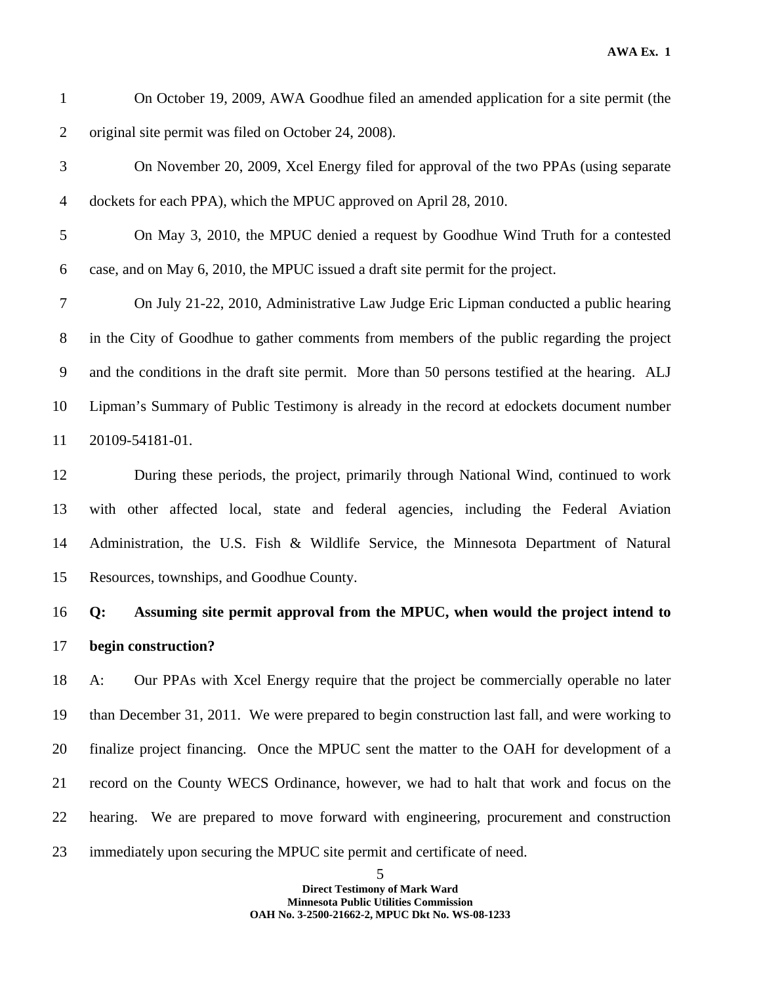- 1 On October 19, 2009, AWA Goodhue filed an amended application for a site permit (the 2 original site permit was filed on October 24, 2008).
- 3 On November 20, 2009, Xcel Energy filed for approval of the two PPAs (using separate 4 dockets for each PPA), which the MPUC approved on April 28, 2010.
- 5 On May 3, 2010, the MPUC denied a request by Goodhue Wind Truth for a contested 6 case, and on May 6, 2010, the MPUC issued a draft site permit for the project.

7 On July 21-22, 2010, Administrative Law Judge Eric Lipman conducted a public hearing 8 in the City of Goodhue to gather comments from members of the public regarding the project 9 and the conditions in the draft site permit. More than 50 persons testified at the hearing. ALJ 10 Lipman's Summary of Public Testimony is already in the record at edockets document number 11 20109-54181-01.

12 During these periods, the project, primarily through National Wind, continued to work 13 with other affected local, state and federal agencies, including the Federal Aviation 14 Administration, the U.S. Fish & Wildlife Service, the Minnesota Department of Natural 15 Resources, townships, and Goodhue County.

16 **Q: Assuming site permit approval from the MPUC, when would the project intend to**  17 **begin construction?** 

18 A: Our PPAs with Xcel Energy require that the project be commercially operable no later 19 than December 31, 2011. We were prepared to begin construction last fall, and were working to 20 finalize project financing. Once the MPUC sent the matter to the OAH for development of a 21 record on the County WECS Ordinance, however, we had to halt that work and focus on the 22 hearing. We are prepared to move forward with engineering, procurement and construction 23 immediately upon securing the MPUC site permit and certificate of need.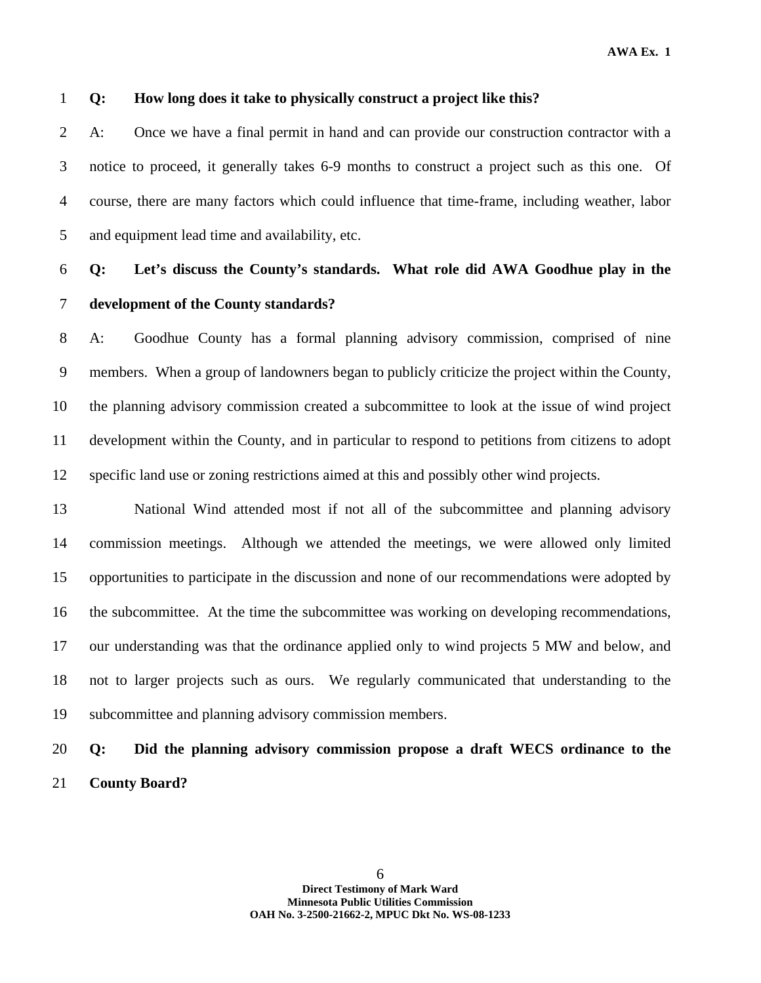#### 1 **Q: How long does it take to physically construct a project like this?**

2 A: Once we have a final permit in hand and can provide our construction contractor with a 3 notice to proceed, it generally takes 6-9 months to construct a project such as this one. Of 4 course, there are many factors which could influence that time-frame, including weather, labor 5 and equipment lead time and availability, etc.

## 6 **Q: Let's discuss the County's standards. What role did AWA Goodhue play in the**  7 **development of the County standards?**

8 A: Goodhue County has a formal planning advisory commission, comprised of nine 9 members. When a group of landowners began to publicly criticize the project within the County, 10 the planning advisory commission created a subcommittee to look at the issue of wind project 11 development within the County, and in particular to respond to petitions from citizens to adopt 12 specific land use or zoning restrictions aimed at this and possibly other wind projects.

13 National Wind attended most if not all of the subcommittee and planning advisory 14 commission meetings. Although we attended the meetings, we were allowed only limited 15 opportunities to participate in the discussion and none of our recommendations were adopted by 16 the subcommittee. At the time the subcommittee was working on developing recommendations, 17 our understanding was that the ordinance applied only to wind projects 5 MW and below, and 18 not to larger projects such as ours. We regularly communicated that understanding to the 19 subcommittee and planning advisory commission members.

### 20 **Q: Did the planning advisory commission propose a draft WECS ordinance to the**  21 **County Board?**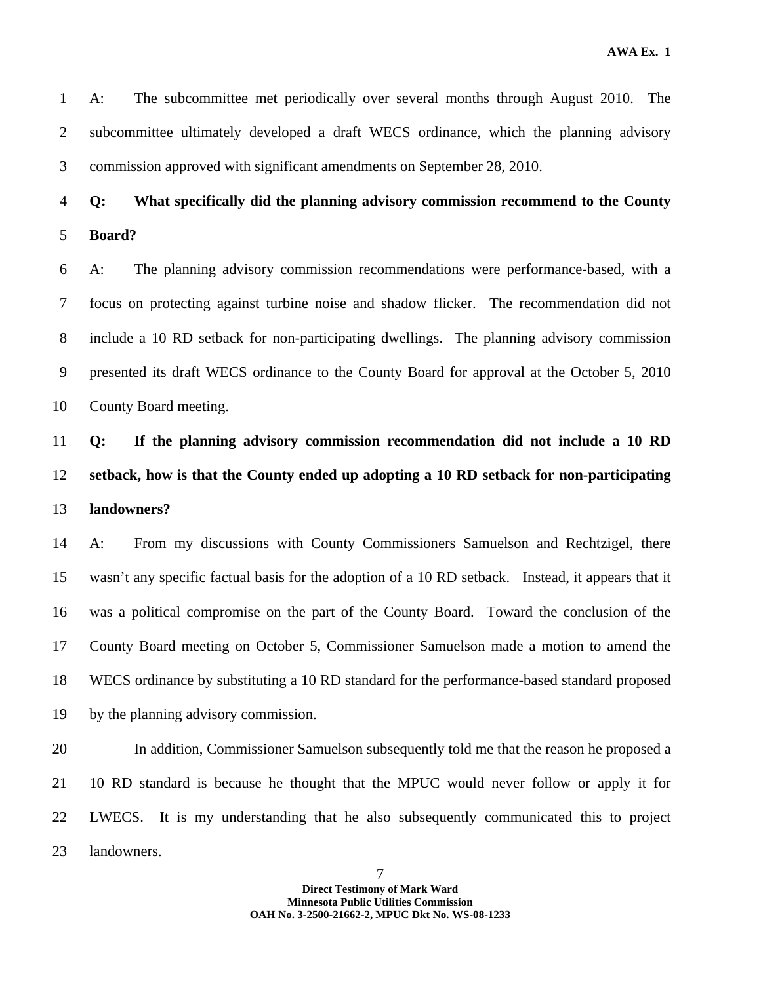1 A: The subcommittee met periodically over several months through August 2010. The 2 subcommittee ultimately developed a draft WECS ordinance, which the planning advisory 3 commission approved with significant amendments on September 28, 2010.

## 4 **Q: What specifically did the planning advisory commission recommend to the County**  5 **Board?**

6 A: The planning advisory commission recommendations were performance-based, with a 7 focus on protecting against turbine noise and shadow flicker. The recommendation did not 8 include a 10 RD setback for non-participating dwellings. The planning advisory commission 9 presented its draft WECS ordinance to the County Board for approval at the October 5, 2010 10 County Board meeting.

11 **Q: If the planning advisory commission recommendation did not include a 10 RD**  12 **setback, how is that the County ended up adopting a 10 RD setback for non-participating**  13 **landowners?** 

14 A: From my discussions with County Commissioners Samuelson and Rechtzigel, there 15 wasn't any specific factual basis for the adoption of a 10 RD setback. Instead, it appears that it 16 was a political compromise on the part of the County Board. Toward the conclusion of the 17 County Board meeting on October 5, Commissioner Samuelson made a motion to amend the 18 WECS ordinance by substituting a 10 RD standard for the performance-based standard proposed 19 by the planning advisory commission.

20 In addition, Commissioner Samuelson subsequently told me that the reason he proposed a 21 10 RD standard is because he thought that the MPUC would never follow or apply it for 22 LWECS. It is my understanding that he also subsequently communicated this to project 23 landowners.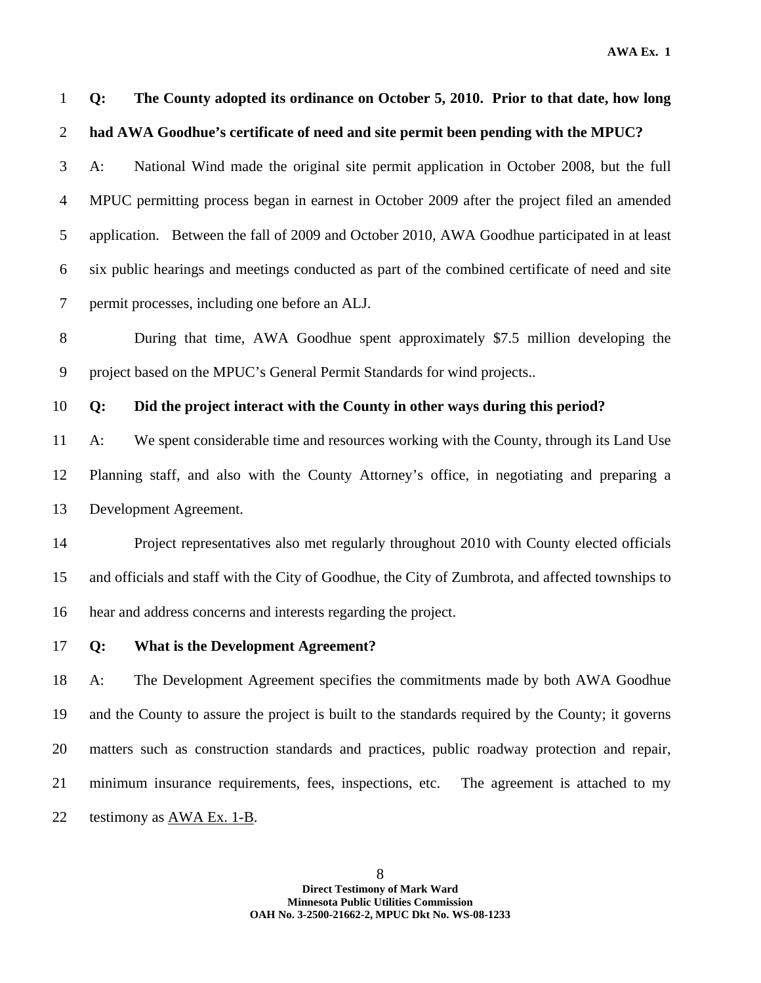1 **Q: The County adopted its ordinance on October 5, 2010. Prior to that date, how long**  2 **had AWA Goodhue's certificate of need and site permit been pending with the MPUC?** 

3 A: National Wind made the original site permit application in October 2008, but the full 4 MPUC permitting process began in earnest in October 2009 after the project filed an amended 5 application. Between the fall of 2009 and October 2010, AWA Goodhue participated in at least 6 six public hearings and meetings conducted as part of the combined certificate of need and site 7 permit processes, including one before an ALJ.

8 During that time, AWA Goodhue spent approximately \$7.5 million developing the 9 project based on the MPUC's General Permit Standards for wind projects..

10 **Q: Did the project interact with the County in other ways during this period?** 

11 A: We spent considerable time and resources working with the County, through its Land Use 12 Planning staff, and also with the County Attorney's office, in negotiating and preparing a 13 Development Agreement.

14 Project representatives also met regularly throughout 2010 with County elected officials 15 and officials and staff with the City of Goodhue, the City of Zumbrota, and affected townships to 16 hear and address concerns and interests regarding the project.

#### 17 **Q: What is the Development Agreement?**

18 A: The Development Agreement specifies the commitments made by both AWA Goodhue 19 and the County to assure the project is built to the standards required by the County; it governs 20 matters such as construction standards and practices, public roadway protection and repair, 21 minimum insurance requirements, fees, inspections, etc. The agreement is attached to my 22 testimony as AWA Ex. 1-B.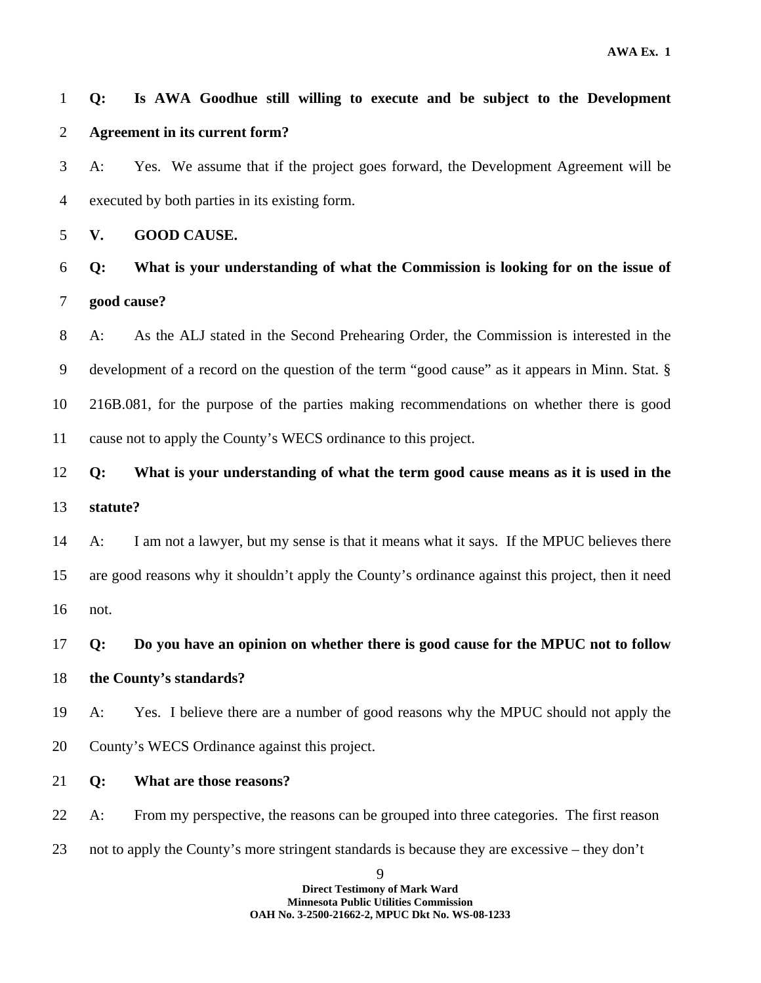### 1 **Q: Is AWA Goodhue still willing to execute and be subject to the Development**  2 **Agreement in its current form?**

3 A: Yes. We assume that if the project goes forward, the Development Agreement will be 4 executed by both parties in its existing form.

5 **V. GOOD CAUSE.** 

6 **Q: What is your understanding of what the Commission is looking for on the issue of**  7 **good cause?** 

8 A: As the ALJ stated in the Second Prehearing Order, the Commission is interested in the 9 development of a record on the question of the term "good cause" as it appears in Minn. Stat. § 10 216B.081, for the purpose of the parties making recommendations on whether there is good 11 cause not to apply the County's WECS ordinance to this project.

12 **Q: What is your understanding of what the term good cause means as it is used in the**  13 **statute?** 

14 A: I am not a lawyer, but my sense is that it means what it says. If the MPUC believes there 15 are good reasons why it shouldn't apply the County's ordinance against this project, then it need 16 not.

17 **Q: Do you have an opinion on whether there is good cause for the MPUC not to follow** 

18 **the County's standards?** 

19 A: Yes. I believe there are a number of good reasons why the MPUC should not apply the 20 County's WECS Ordinance against this project.

21 **Q: What are those reasons?** 

22 A: From my perspective, the reasons can be grouped into three categories. The first reason 23 not to apply the County's more stringent standards is because they are excessive – they don't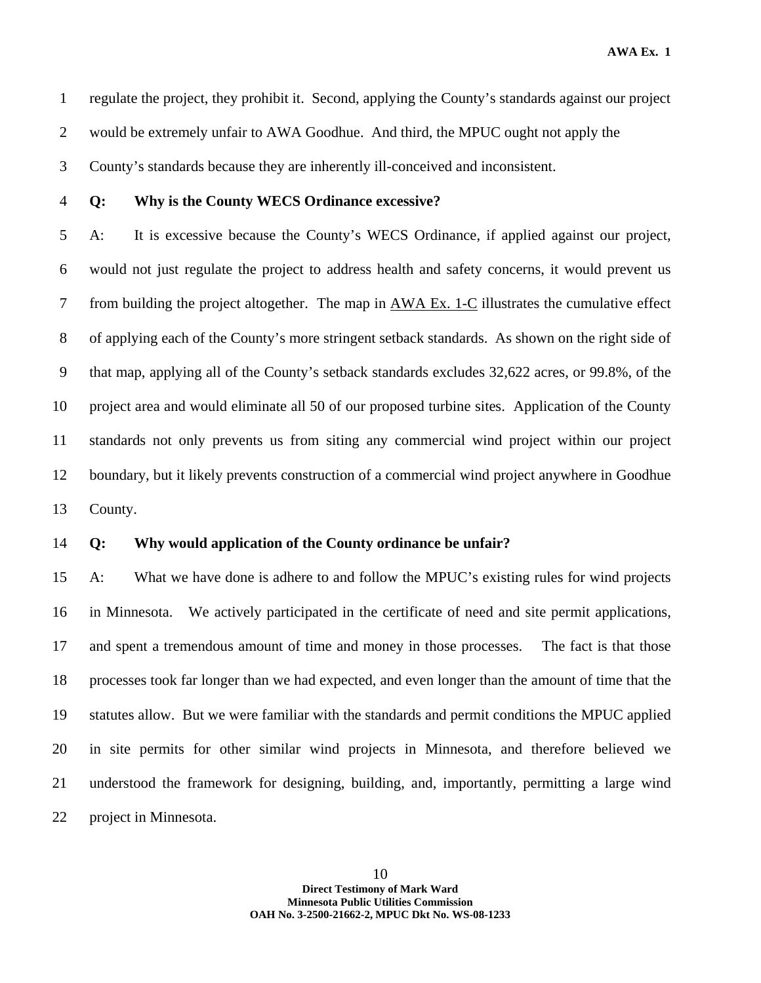1 regulate the project, they prohibit it. Second, applying the County's standards against our project 2 would be extremely unfair to AWA Goodhue. And third, the MPUC ought not apply the 3 County's standards because they are inherently ill-conceived and inconsistent.

#### 4 **Q: Why is the County WECS Ordinance excessive?**

5 A: It is excessive because the County's WECS Ordinance, if applied against our project, 6 would not just regulate the project to address health and safety concerns, it would prevent us 7 from building the project altogether. The map in AWA Ex. 1-C illustrates the cumulative effect 8 of applying each of the County's more stringent setback standards. As shown on the right side of 9 that map, applying all of the County's setback standards excludes 32,622 acres, or 99.8%, of the 10 project area and would eliminate all 50 of our proposed turbine sites. Application of the County 11 standards not only prevents us from siting any commercial wind project within our project 12 boundary, but it likely prevents construction of a commercial wind project anywhere in Goodhue 13 County.

#### 14 **Q: Why would application of the County ordinance be unfair?**

15 A: What we have done is adhere to and follow the MPUC's existing rules for wind projects 16 in Minnesota. We actively participated in the certificate of need and site permit applications, 17 and spent a tremendous amount of time and money in those processes. The fact is that those 18 processes took far longer than we had expected, and even longer than the amount of time that the 19 statutes allow. But we were familiar with the standards and permit conditions the MPUC applied 20 in site permits for other similar wind projects in Minnesota, and therefore believed we 21 understood the framework for designing, building, and, importantly, permitting a large wind 22 project in Minnesota.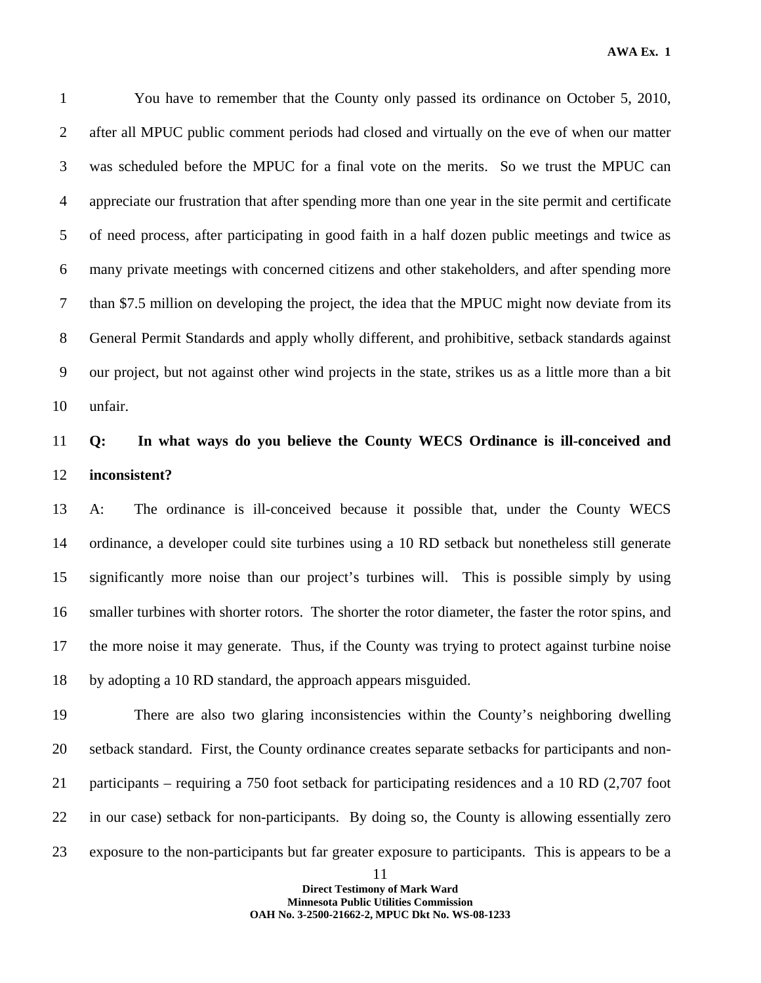2 after all MPUC public comment periods had closed and virtually on the eve of when our matter 3 was scheduled before the MPUC for a final vote on the merits. So we trust the MPUC can 4 appreciate our frustration that after spending more than one year in the site permit and certificate 5 of need process, after participating in good faith in a half dozen public meetings and twice as 6 many private meetings with concerned citizens and other stakeholders, and after spending more 7 than \$7.5 million on developing the project, the idea that the MPUC might now deviate from its 8 General Permit Standards and apply wholly different, and prohibitive, setback standards against 9 our project, but not against other wind projects in the state, strikes us as a little more than a bit 10 unfair.

### 11 **Q: In what ways do you believe the County WECS Ordinance is ill-conceived and**  12 **inconsistent?**

13 A: The ordinance is ill-conceived because it possible that, under the County WECS 14 ordinance, a developer could site turbines using a 10 RD setback but nonetheless still generate 15 significantly more noise than our project's turbines will. This is possible simply by using 16 smaller turbines with shorter rotors. The shorter the rotor diameter, the faster the rotor spins, and 17 the more noise it may generate. Thus, if the County was trying to protect against turbine noise 18 by adopting a 10 RD standard, the approach appears misguided.

19 There are also two glaring inconsistencies within the County's neighboring dwelling 20 setback standard. First, the County ordinance creates separate setbacks for participants and non-21 participants – requiring a 750 foot setback for participating residences and a 10 RD (2,707 foot 22 in our case) setback for non-participants. By doing so, the County is allowing essentially zero 23 exposure to the non-participants but far greater exposure to participants. This is appears to be a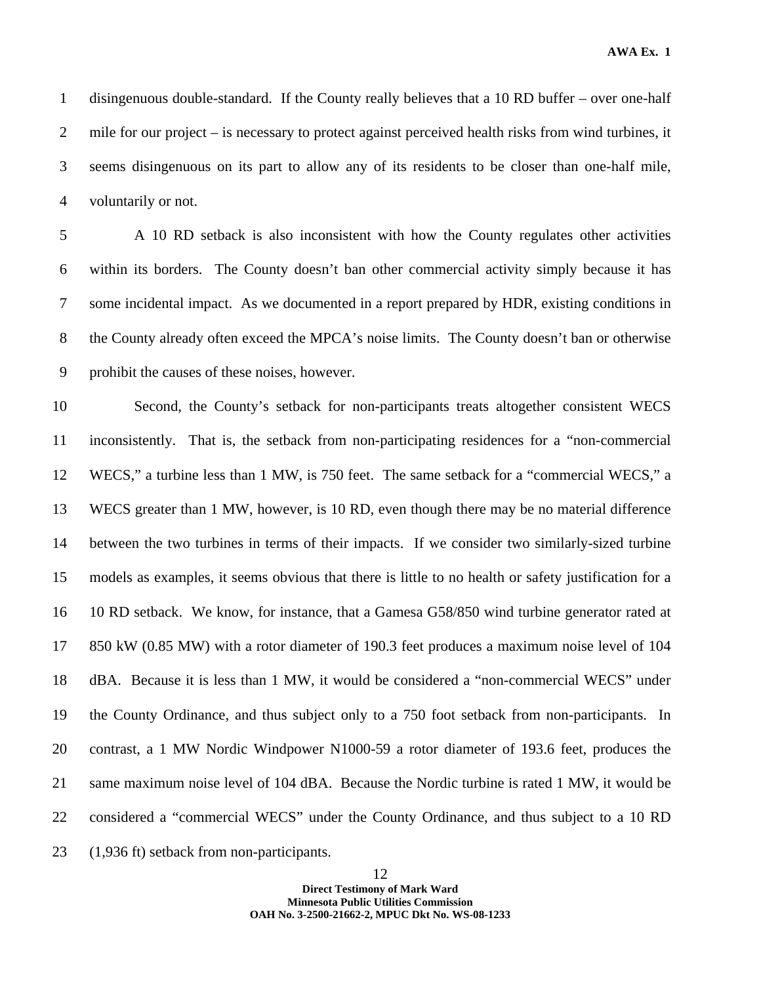1 disingenuous double-standard. If the County really believes that a 10 RD buffer – over one-half 2 mile for our project – is necessary to protect against perceived health risks from wind turbines, it 3 seems disingenuous on its part to allow any of its residents to be closer than one-half mile, 4 voluntarily or not.

5 A 10 RD setback is also inconsistent with how the County regulates other activities 6 within its borders. The County doesn't ban other commercial activity simply because it has 7 some incidental impact. As we documented in a report prepared by HDR, existing conditions in 8 the County already often exceed the MPCA's noise limits. The County doesn't ban or otherwise 9 prohibit the causes of these noises, however.

10 Second, the County's setback for non-participants treats altogether consistent WECS 11 inconsistently. That is, the setback from non-participating residences for a "non-commercial 12 WECS," a turbine less than 1 MW, is 750 feet. The same setback for a "commercial WECS," a 13 WECS greater than 1 MW, however, is 10 RD, even though there may be no material difference 14 between the two turbines in terms of their impacts. If we consider two similarly-sized turbine 15 models as examples, it seems obvious that there is little to no health or safety justification for a 16 10 RD setback. We know, for instance, that a Gamesa G58/850 wind turbine generator rated at 17 850 kW (0.85 MW) with a rotor diameter of 190.3 feet produces a maximum noise level of 104 18 dBA. Because it is less than 1 MW, it would be considered a "non-commercial WECS" under 19 the County Ordinance, and thus subject only to a 750 foot setback from non-participants. In 20 contrast, a 1 MW Nordic Windpower N1000-59 a rotor diameter of 193.6 feet, produces the 21 same maximum noise level of 104 dBA. Because the Nordic turbine is rated 1 MW, it would be 22 considered a "commercial WECS" under the County Ordinance, and thus subject to a 10 RD 23 (1,936 ft) setback from non-participants.